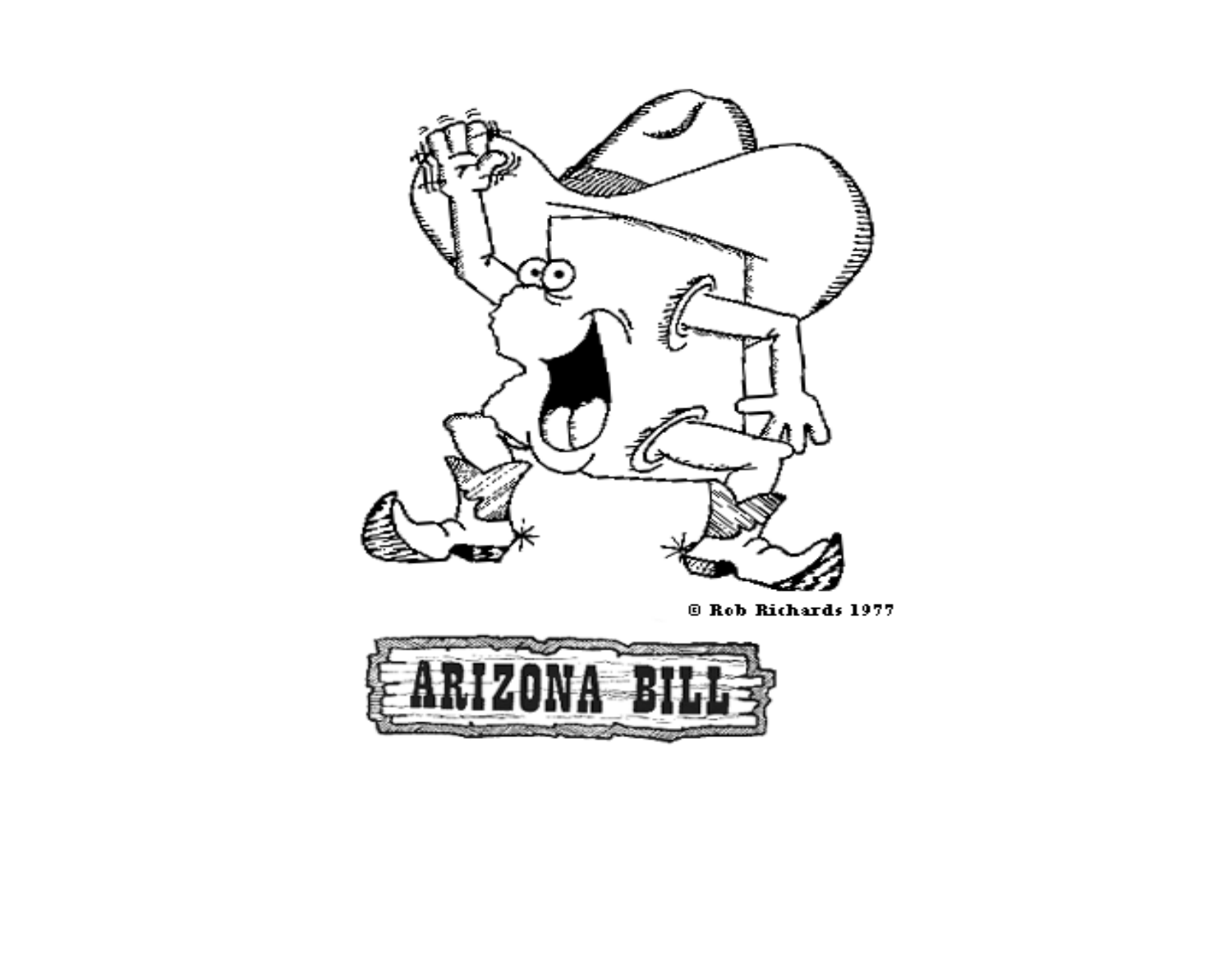

<sup>©</sup> Rob Richards 1977

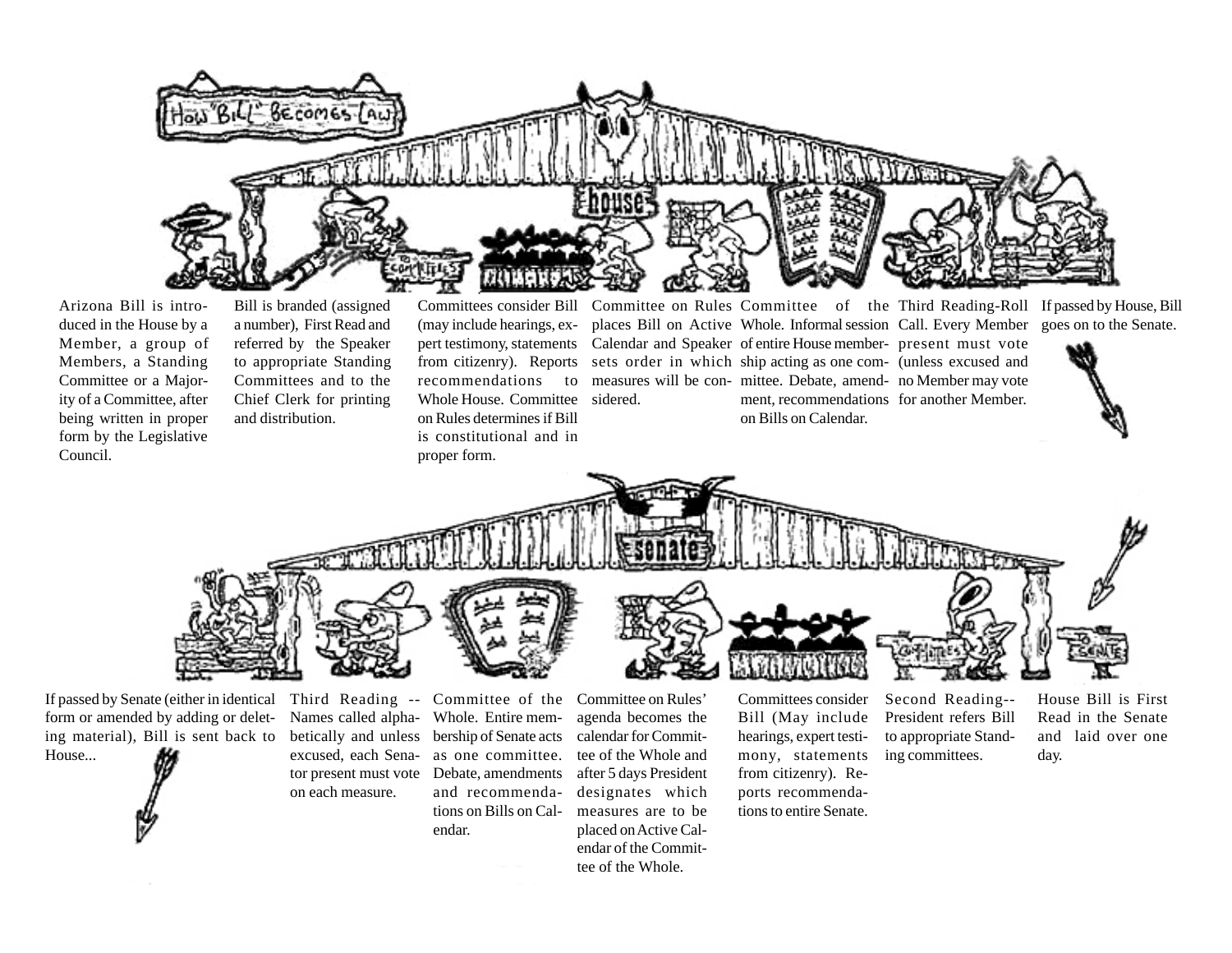

Arizona Bill is introduced in the House by a Member, a group of Members, a Standing Committee or a Majority of a Committee, after being written in proper form by the Legislative Council.

Bill is branded (assigned a number), First Read and referred by the Speaker to appropriate Standing Committees and to the Chief Clerk for printing and distribution.

Committees consider Bill (may include hearings, expert testimony, statements from citizenry). Reports recommendations to Whole House. Committee on Rules determines if Bill is constitutional and in proper form.

Committee on Rules Committee of the Third Reading-Roll If passed by House, Bill sidered.

places Bill on Active Whole. Informal session Call. Every Member goes on to the Senate. Calendar and Speaker of entire House member- present must vote sets order in which ship acting as one com- (unless excused and measures will be con- mittee. Debate, amend- no Member may vote ment, recommendations for another Member. on Bills on Calendar.





If passed by Senate (either in identical form or amended by adding or deleting material), Bill is sent back to House...

Third Reading -- Names called alphabetically and unless bership of Senate acts excused, each Senator present must vote Debate, amendments on each measure.

Committee of the Whole. Entire memas one committee. and recommendations on Bills on Calendar.

Committee on Rules' agenda becomes the calendar for Committee of the Whole and after 5 days President designates which measures are to be placed on Active Calendar of the Committee of the Whole.

Committees consider Bill (May include hearings, expert testimony, statements from citizenry). Reports recommendations to entire Senate.

Second Reading-- President refers Bill to appropriate Standing committees.

House Bill is First Read in the Senate and laid over one day.